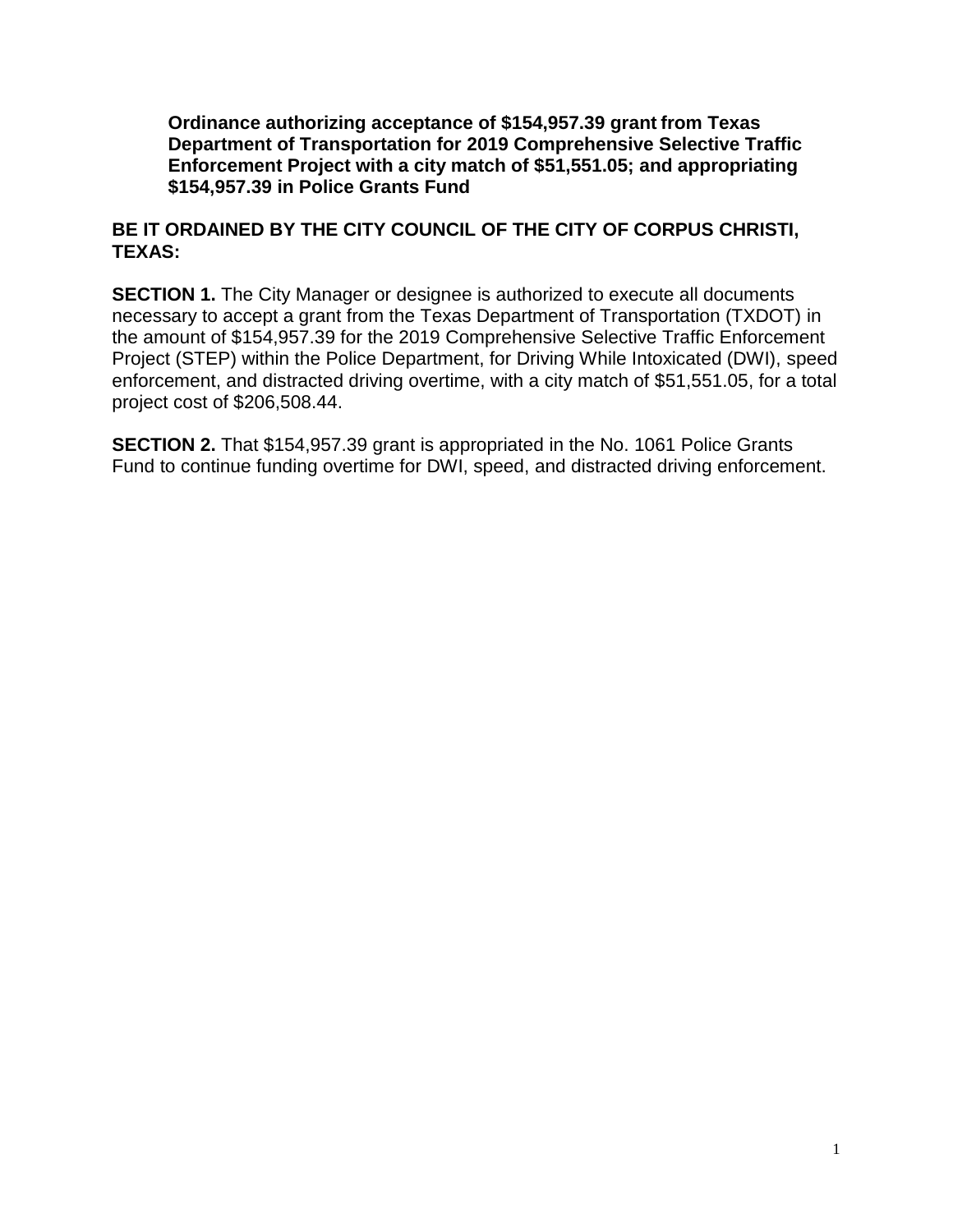**Ordinance authorizing acceptance of \$154,957.39 grant from Texas Department of Transportation for 2019 Comprehensive Selective Traffic Enforcement Project with a city match of \$51,551.05; and appropriating \$154,957.39 in Police Grants Fund**

## **BE IT ORDAINED BY THE CITY COUNCIL OF THE CITY OF CORPUS CHRISTI, TEXAS:**

**SECTION 1.** The City Manager or designee is authorized to execute all documents necessary to accept a grant from the Texas Department of Transportation (TXDOT) in the amount of \$154,957.39 for the 2019 Comprehensive Selective Traffic Enforcement Project (STEP) within the Police Department, for Driving While Intoxicated (DWI), speed enforcement, and distracted driving overtime, with a city match of \$51,551.05, for a total project cost of \$206,508.44.

**SECTION 2.** That \$154,957.39 grant is appropriated in the No. 1061 Police Grants Fund to continue funding overtime for DWI, speed, and distracted driving enforcement.